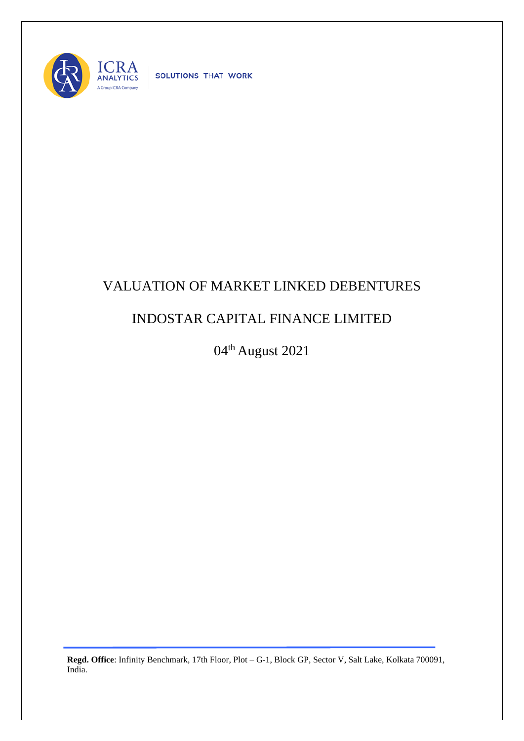

SOLUTIONS THAT WORK

## VALUATION OF MARKET LINKED DEBENTURES

## INDOSTAR CAPITAL FINANCE LIMITED

04th August 2021

**Regd. Office**: Infinity Benchmark, 17th Floor, Plot – G-1, Block GP, Sector V, Salt Lake, Kolkata 700091, India.